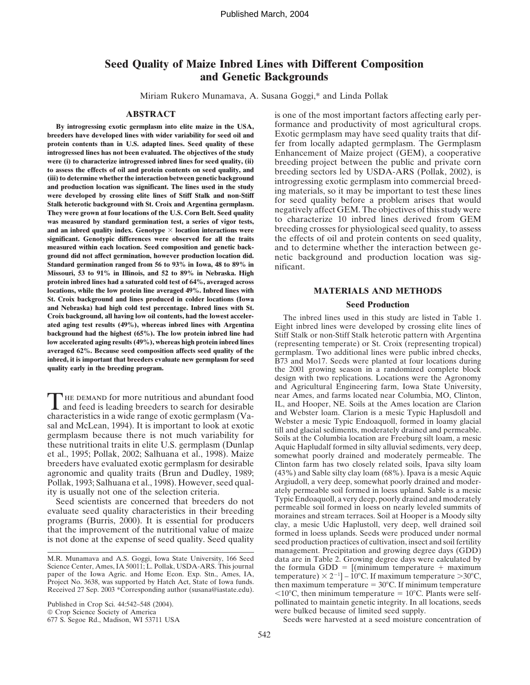# **Seed Quality of Maize Inbred Lines with Different Composition and Genetic Backgrounds**

Miriam Rukero Munamava, A. Susana Goggi,\* and Linda Pollak

**breeders have developed lines with wider variability for seed oil and** Exotic germplasm may have seed quality traits that dif**protein contents than in U.S. adapted lines. Seed quality of these** fer from locally adapted germplasm. The Germplasm **introgressed lines has not been evaluated. The objectives of the study** Enhancement of Maize project (GEM), a cooperative **were (i) to characterize introgressed inbred lines for seed quality, (ii)** breeding project between the public and private corn to assess the effects of oil and protein contents on seed quality, and breeding sectors led b to assess the effects of oil and protein contents on seed quality, and<br>
(iii) to determine whether the interaction between genetic background<br>
and production location was significant. The lines used in the study<br>
were deve **was measured by standard germination test, a series of vigor tests,** to characterize 10 inbred lines derived from GEM **and an inbred quality index. Genotype location interactions were** breeding crosses for physiological seed quality, to assess **significant.** Genotypic differences were observed for all the traits the effects of oil and protein contents on seed quality, measured within each location. Seed composition and genetic back-<br>and to determine whether the **measured within each location. Seed composition and genetic back-** and to determine whether the interaction between ge-<br>**ground did not affect germination, however production location did.** Peric background and production **ground did not affect germination, however production location did.** netic background and production location was sig- **Standard germination ranged from 56 to 93% in Iowa, 48 to 89% in** nificant. **Missouri, 53 to 91% in Illinois, and 52 to 89% in Nebraska. High protein inbred lines had a saturated cold test of 64%, averaged across locations, while the low protein line averaged 49%. Inbred lines with MATERIALS AND METHODS** St. Croix background and lines produced in colder locations (Iowa **St. Croix background and lines produced in colder locations (Iowa Seed Production and Nebraska) had high cold test percentage. Inbred lines with St. Croix background, all having low oil contents, had the lowest acceler-** The inbred lines used in this study are listed in Table 1.<br>**And are accelerated aging test results (49%), whereas inbred lines with Argentina** Fight

THE DEMAND for more nutritious and abundant food<br>and feed is leading breeders to search for desirable<br>characteristics in a wide range of exotic germplasm (Va-<br>and Webster loam. Clarion is a mesic Typic Haplusdoll and<br>and W and feed is leading breeders to search for desirable<br>
characteristics in a wide range of exotic germplasm (Va-<br>
sal and McLean, 1994). It is important to look at exotic<br>
germplasm because there is not much variability for<br> breeders have evaluated exotic germplasm for desirable Clinton farm has two closely related soils, Ipava silty loam agronomic and quality traits (Brun and Dudley, 1989; (43%) and Sable silty clay loam (68%). Ipava is a mesic Aquic<br>Pollak, 1993: Salhuana et al., 1998). However, seed qual-<br>Argiudoll, a very deep, somewhat poorly drained a Pollak, 1993; Salhuana et al., 1998). However, seed qual- Argiudoll, a very deep, somewhat poorly drained and moder-

**ABSTRACT** is one of the most important factors affecting early per-**By introgressing exotic germplasm into elite maize in the USA,** formance and productivity of most agricultural crops.

**ated aging test results (49%), whereas inbred lines with Argentina** Eight inbred lines were developed by crossing elite lines of background had the highest (65%). The low protein inbred line had Stiff Stalk or non-Stiff S **background had the highest (65%). The low protein inbred line had** Stiff Stalk or non-Stiff Stalk heterotic pattern with Argentina low accelerated aging results (49%), whereas high protein inbred lines (representing tempe **low accelerated aging results (49%), whereas high protein inbred lines** (representing temperate) or St. Croix (representing tropical) **averaged 62%. Because seed composition affects seed quality of the** germplasm. Two additional lines were public inbred checks, **inbred, it is important that breeders evaluate new germplasm for seed** B73 and Mo17. Seeds we **inbred, it is important that breeders evaluate new germplasm for seed** B73 and Mo17. Seeds were planted at four locations during quality early in the breeding program. the 2001 growing season in a randomized complete block design with two replications. Locations were the Agronomy and Agricultural Engineering farm, Iowa State University, ity is usually not one of the selection criteria.<br>Seed scientists are concerned that breeders do not<br>evaluate seed quality characteristics in their breeding<br>programs (Burris, 2000). It is essential for producers<br>that the i management. Precipitation and growing degree days (GDD) M.R. Munamava and A.S. Goggi, Iowa State University, 166 Seed data are in Table 2. Growing degree days were calculated by Science Center, Ames, IA 50011; L. Pollak, USDA-ARS. This journal the formula GDD = [(minimum temperature + maximum paper of the Iowa Agric. and Home Econ. Exp. Stn., Ames, IA, temperature  $\times 2^{-1}$ ] – 10°C. If maximum te the formula  $GDD = [(minimum temperature + maximum$ Project No. 3638, was supported by Hatch Act, State of Iowa funds.<br>Received 27 Sep. 2003 \*Corresponding author (susana@iastate.edu).  $10\%$  then minimum temperature  $-10\%$  Plants were self Project No. 3038, was supported by Hatch Act, state of Iowa funds.<br>Received 27 Sep. 2003 \*Corresponding author (susana@iastate.edu).  $< 10^{\circ}$ C, then minimum temperature = 10°C. Plants were self-Published in Crop Sci. 44:542–548 (2004). pollinated to maintain genetic integrity. In all locations, seeds  $\degree$  Crop Science Society of America executions of America executions, seeds were bulked because of limited seed s

Crop Science Society of America<br>
677 S. Segoe Rd., Madison, WI 53711 USA<br>
677 S. Segoe Rd., Madison, WI 53711 USA<br>
677 Seeds were harvested at a seed moisture Seeds were harvested at a seed moisture concentration of

paper of the Iowa Agric. and Home Econ. Exp. Stn., Ames, IA, Project No. 3638, was supported by Hatch Act, State of Iowa funds.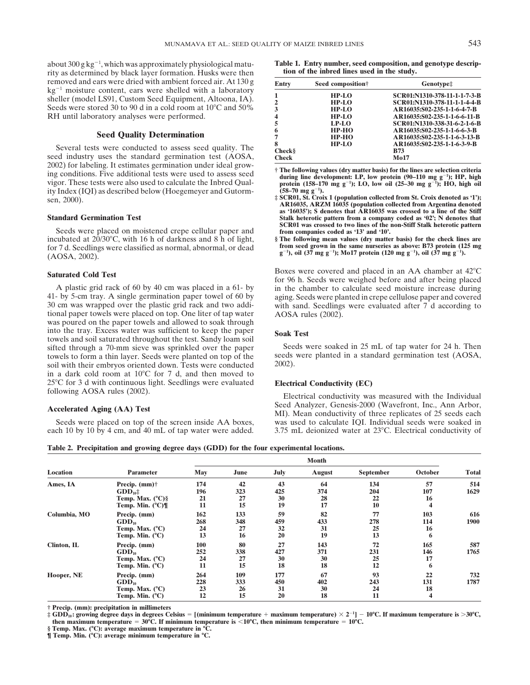about 300 g kg<sup>-1</sup>, which was approximately physiological matu-<br> **Table 1. Entry number, seed composition, and genotype descrip-**<br> **Table 1. Entry number, seed composition, and genotype descrip-**<br> **Table 1. Entry number, s** rity as determined by black layer formation. Husks were then removed and ears were dried with ambient forced air. At 130 g kg<sup>-1</sup> moisture content, ears were shelled with a laboratory sheller (model LS91, Custom Seed Equipment, Altoona, IA).<br>Seeds were stored 30 to 90 d in a cold room at 10°C and 50% RH until laboratory analyses were performed.

## **6 Seed Quality Determination**

**8 Several tests were conducted to assess seed quality. The seed industry uses the standard germination test (AOSA, 2002) for labeling. It estimates germination under ideal grow**ing conditions. Five additional tests were used to assess seed<br>ing conditions. Five additional tests were used to assess seed<br>during line development: LP, low protein (90–110 mg g<sup>-1</sup>); HP, high vigor. These tests were also used to calculate the Inbred Qual-<br>
ity Index (IQI) as described below (Hoegemeyer and Gutorm- (58–70 mg g<sup>-1</sup>). **(58–70 mg g<sup>-1</sup>).**<br>  $\sec$  **(58–70 mg g<sup>-1</sup>).**<br>  $\sec$  **3CR01, St. Croix 1 (population collected from St. Croix denoted as '1');** 

Seeds were placed on moistened crepe cellular paper and **from companies coded as '13' and '10'.**<br>Cubated at 20/30°C, with 16 h of darkness and 8 h of light, § The following mean values (dry matter basis) for the check line incubated at 20/30C, with 16 h of darkness and 8 h of light, **§ The following mean values (dry matter basis) for the check lines are** for 7 d. Seedlings were classified as normal, abnormal, or dead (AOSA, 2002). (AOSA, 2002). (AOSA, 2002).

tional paper towels were placed on top. One liter of tap water AOSA rules (2002). was poured on the paper towels and allowed to soak through into the tray. Excess water was sufficient to keep the paper<br>
towels and soil saturated throughout the test. Sandy loam soil<br>
sifted through a 70-mm sieve was sprinkled over the paper<br>
Seeds were soaked in 25 mL of tap wat sifted through a 70-mm sieve was sprinkled over the paper<br>towels to form a thin layer. Seeds were planted on top of the seeds were planted in a standard germination test (AOSA, towels to form a thin layer. Seeds were planted on top of the seeds soil with their embryos oriented down. Tests were conducted 2002). soil with their embryos oriented down. Tests were conducted in a dark cold room at  $10^{\circ}$ C for 7 d, and then moved to 25°C for 3 d with continuous light. Seedlings were evaluated **Electrical Conductivity (EC)**<br>following AOSA rules (2002).

each 10 by 10 by 4 cm, and 40 mL of tap water were added. 3.75 mL deionized water at 23°C. Electrical conductivity of

| Entry          | Seed composition† | Genotype:                    |  |  |  |  |
|----------------|-------------------|------------------------------|--|--|--|--|
|                | HP-LO             | SCR01:N1310-378-11-1-1-7-3-B |  |  |  |  |
| $\mathbf{2}$   | HP-LO             | SCR01:N1310-378-11-1-1-4-4-B |  |  |  |  |
|                | HP-LO             | AR16035:S02-235-1-1-6-4-7-B  |  |  |  |  |
|                | HP-LO             | AR16035:S02-235-1-1-6-6-11-B |  |  |  |  |
|                | LP-LO             | SCR01:N1310-338-31-6-2-1-6-B |  |  |  |  |
| 6              | $HP-HO$           | AR16035:S02-235-1-1-6-6-3-B  |  |  |  |  |
|                | HP-HO             | AR16035:S02-235-1-1-6-3-13-B |  |  |  |  |
| 8              | HP-LO             | AR16035:S02-235-1-1-6-3-9-B  |  |  |  |  |
| <b>Check</b> § |                   | <b>B73</b>                   |  |  |  |  |
| <b>Check</b>   |                   | <b>Mo17</b>                  |  |  |  |  |

**); LO, low oil (25–30 mg g<sup>1</sup> ); HO, high oil**

**‡ SCR01, St. Croix 1 (population collected from St. Croix denoted as '1');** sen, 2000). **AR16035, ARZM 16035 (population collected from Argentina denoted as '16035'); S denotes that AR16035 was crossed to a line of the Stiff Standard Germination Test**<br>**Stalk heterotic pattern from a company coded as '02'; N denotes that**<br>**SCR01** was crossed to two lines of the non-Stiff Stalk heterotic pattern

**Saturated Cold Test** Boxes were covered and placed in an AA chamber at 42°C<br>A plastic grid rack of 60 by 40 cm was placed in a 61- by in the chamber to calculate seed moisture increase during A plastic grid rack of 60 by 40 cm was placed in a 61- by in the chamber to calculate seed moisture increase during 41- by 5-cm tray. A single germination paper towel of 60 by aging. Seeds were planted in crepe cellulose p 41- by 5-cm tray. A single germination paper towel of 60 by aging. Seeds were planted in crepe cellulose paper and covered 30 cm was wrapped over the plastic grid rack and two addi-<br>with sand. Seedlings were evaluated afte with sand. Seedlings were evaluated after 7 d according to

Electrical conductivity was measured with the Individual **Accelerated Aging (AA) Test** Seed Analyzer, Genesis-2000 (Wavefront, Inc., Ann Arbor, **Accelerated Aging (AA) Test** MI). Mean conductivity of three replicates of 25 seeds each Seeds were placed on top of the screen inside AA boxes, was used to calculate IQI. Individual seeds were soaked in

**Table 2. Precipitation and growing degree days (GDD) for the four experimental locations.**

|              |                                                                      | <b>Month</b>     |                  |                  |                 |                  |                 |              |
|--------------|----------------------------------------------------------------------|------------------|------------------|------------------|-----------------|------------------|-----------------|--------------|
| Location     | <b>Parameter</b>                                                     | May              | June             | July             | <b>August</b>   | <b>September</b> | October         | <b>Total</b> |
| Ames, IA     | Precip. $(mm)$ †                                                     | 174              | 42               | 43               | 64              | 134              | 57              | 514          |
|              | $\text{GDD}_{10}$ #<br>Temp. Max. $(^{\circ}C)\$<br>Temp. Min. (°C)¶ | 196<br>21<br>11  | 323<br>27<br>15  | 425<br>30<br>19  | 374<br>28<br>17 | 204<br>22<br>10  | 107<br>16<br>4  | 1629         |
| Columbia, MO | Precip. (mm)                                                         | 162              | 133              | 59               | 82              | 77               | 103             | 616          |
|              | $GDD_{10}$<br>Temp. Max. (°C)                                        | 268<br>24        | 348<br>27        | 459<br>32        | 433<br>31       | 278<br>25        | 114<br>16       | 1900         |
| Clinton, IL  | Temp. Min. $(^{\circ}C)$<br>Precip. (mm)                             | 13<br>100        | 16<br>80         | 20<br>27         | 19<br>143       | 13<br>72         | 6<br>165        | 587          |
|              | $\text{GDD}_{10}$<br>Temp. Max. (°C)                                 | 252<br>24        | 338<br>27        | 427<br>30        | 371<br>30       | 231<br>25        | 146<br>17       | 1765         |
|              | Temp. Min. $(^{\circ}C)$                                             | 11               | 15               | 18               | 18              | 12               | 6               |              |
| Hooper, NE   | Precip. (mm)<br>$\mathbf{GDD}_{10}$<br>Temp. Max. $(^{\circ}C)$      | 264<br>228<br>23 | 109<br>333<br>26 | 177<br>450<br>31 | 67<br>402<br>30 | 93<br>243<br>24  | 22<br>131<br>18 | 732<br>1787  |
|              | Temp. Min. (°C)                                                      | 12               | 15               | 20               | 18              | 11               | 4               |              |

**† Precip. (mm): precipitation in millimeters**

 $\pm$  GDD<sub>10</sub>: growing degree days in degrees Celsius = [(minimum temperature + maximum temperature)  $\times$  2<sup>-1</sup>] – 10°C. If maximum temperature is >30°C, then maximum temperature = 30°C. If minimum temperature is  $<$  10°C, then minimum temperature = 10°C.

§ Temp. Max. (°C): average maximum temperature in  $\overline{C}$ .

**¶ Temp. Min. (C): average minimum temperature in C.**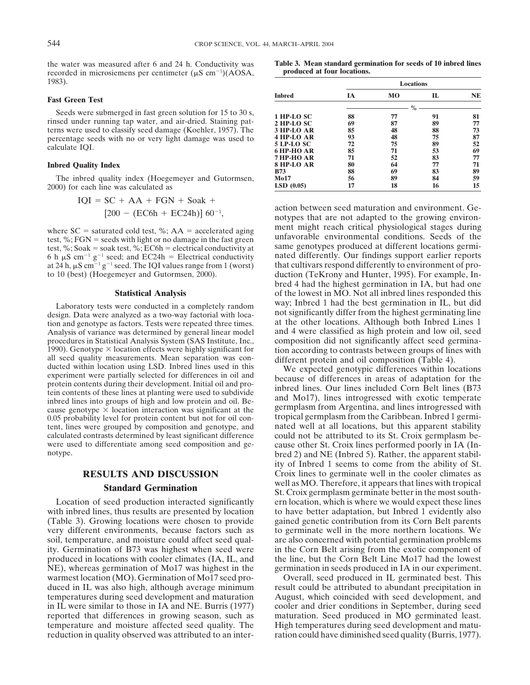recorded in microsiemens per centimeter  $(\mu S \text{ cm}^{-1})(\text{AOSA}, \text{ peroduced at four locations})$ 1983). **Locations**

## **Inbred Quality Index**

$$
IQI = SC + AA + FGN + Soak + [200 - (EC6h + EC24h)] 60^{-1},
$$

where  $SC =$  saturated cold test, %;  $AA =$  accelerated aging  $=$  soak test, %; EC6h  $=$  electrical conductivity at 6 h  $\mu$ S cm<sup>-1</sup> g<sup>-1</sup> seed; and EC24h = Electrical conductivity at 24 h,  $\mu$ S cm<sup>-1</sup> g<sup>-1</sup> seed. The IQI values range from 1 (worst)

Analysis of variance was determined by general linear model procedures in Statistical Analysis System (SAS Institute, Inc., 1990). Genotype  $\times$  location effects were highly significant for<br>all seed quality measurements. Mean separation was con-<br>ducted within location using LSD. Inbred lines used in this<br>experiment were partially selected for inbred lines into groups of high and low protein and oil. Be-<br>cause genotype  $\times$  location interaction was significant at the germplasm from Argentina, and lines introgressed with<br>0.05 probability level for protein conten 0.05 probability level for protein content but not for oil con-<br>tent, lines were grouped by composition and genotype, and ated well at all locations, but this apparent stability tent, lines were grouped by composition and genotype, and calculated contrasts determined by least significant difference could not be attributed to its St. Croix germplasm bewere used to differentiate among seed composition and ge-<br>cause other St. Croix lines performed poorly in IA (In-

with inbred lines, thus results are presented by location to have better adaptation, but Inbred 1 evidently also (Table 3). Growing locations were chosen to provide gained genetic contribution from its Corn Belt parents very different environments, because factors such as to germinate well in the more northern locations. We soil, temperature, and moisture could affect seed qual- are also concerned with potential germination problems ity. Germination of B73 was highest when seed were in the Corn Belt arising from the exotic component of produced in locations with cooler climates (IA, IL, and the line, but the Corn Belt Line Mo17 had the lowest NE), whereas germination of Mo17 was highest in the germination in seeds produced in IA in our experiment. warmest location (MO). Germination of Mo17 seed pro- Overall, seed produced in IL germinated best. This

the water was measured after 6 and 24 h. Conductivity was **Table 3. Mean standard germination for seeds of 10 inbred lines**<br>recorded in microsiemens per centimeter (u.S. cm<sup>-1</sup>)( $\Delta$ OS $\Delta$  **produced at four locations.** 

| 1983).                                                       | <b>Locations</b>  |    |      |    |           |
|--------------------------------------------------------------|-------------------|----|------|----|-----------|
| <b>Fast Green Test</b>                                       | <b>Inbred</b>     | IA | MO   | П. | <b>NE</b> |
|                                                              |                   |    | $\%$ |    |           |
| Seeds were submerged in fast green solution for 15 to 30 s,  | 1 HP-LO SC        | 88 | 77   | 91 | 81        |
| rinsed under running tap water, and air-dried. Staining pat- | 2 HP-LO SC        | 69 | 87   | 89 | 77        |
| terns were used to classify seed damage (Koehler, 1957). The | 3 HP-LO AR        | 85 | 48   | 88 | 73        |
| percentage seeds with no or very light damage was used to    | 4 HP-LO AR        | 93 | 48   | 75 | 87        |
| calculate IOI.                                               | <b>5 LP-LO SC</b> | 72 | 75   | 89 | 52        |
|                                                              | 6 HP-HO AR        | 85 | 71   | 53 | 69        |
|                                                              | 7 HP-HO AR        | 71 | 52   | 83 | 77        |
| <b>Inbred Quality Index</b>                                  | 8 HP-LO AR        | 80 | 64   | 77 | 71        |
|                                                              | <b>B73</b>        | 88 | 69   | 83 | 89        |
| The inbred quality index (Hoegemeyer and Gutormsen,          | Mo17              | 56 | 89   | 84 | 59        |
| 2000) for each line was calculated as                        | LSD(0.05)         | 17 | 18   | 16 | 15        |
|                                                              |                   |    |      |    |           |

action between seed maturation and environment. Ge-, notypes that are not adapted to the growing environwhere  $SC =$  saturated cold test, %;  $AA =$  accelerated aging ment might reach critical physiological stages during test, %;  $FGN =$  seeds with light or no damage in the fast green unfavorable environmental conditions. Seeds of unfavorable environmental conditions. Seeds of the same genotypes produced at different locations germinated differently. Our findings support earlier reports<br>that cultivars respond differently to environment of proto 10 (best) (Hoegemeyer and Gutormsen, 2000). duction (TeKrony and Hunter, 1995). For example, Inbred 4 had the highest germination in IA, but had one **Statistical Analysis** of the lowest in MO. Not all inbred lines responded this Laboratory tests were conducted in a completely random<br>design. Data were analyzed as a two-way factorial with loca-<br>tion and genotype as factors. Tests were repeated three times.<br>at the other locations. Although both Inbre tion and genotype as factors. Tests were repeated three times. at the other locations. Although both Inbred Lines 1<br>Analysis of variance was determined by general linear model and 4 were classified as high protein and low procedures in Statistical Analysis System (SAS Institute, Inc., composition did not significantly affect seed germina-<br>1990). Genotype  $\times$  location effects were highly significant for tion according to contrasts between

notype. bred 2) and NE (Inbred 5). Rather, the apparent stability of Inbred 1 seems to come from the ability of St. **RESULTS AND DISCUSSION** Croix lines to germinate well in the cooler climates as **Standard Germination** well as MO. Therefore, it appears that lines with tropical St. Croix germplasm germinate better in the most south-Location of seed production interacted significantly ern location, which is where we would expect these lines

duced in IL was also high, although average minimum result could be attributed to abundant precipitation in temperatures during seed development and maturation August, which coincided with seed development, and August, which coincided with seed development, and in IL were similar to those in IA and NE. Burris (1977) cooler and drier conditions in September, during seed reported that differences in growing season, such as maturation. Seed produced in MO germinated least. temperature and moisture affected seed quality. The High temperatures during seed development and matureduction in quality observed was attributed to an inter- ration could have diminished seed quality (Burris, 1977).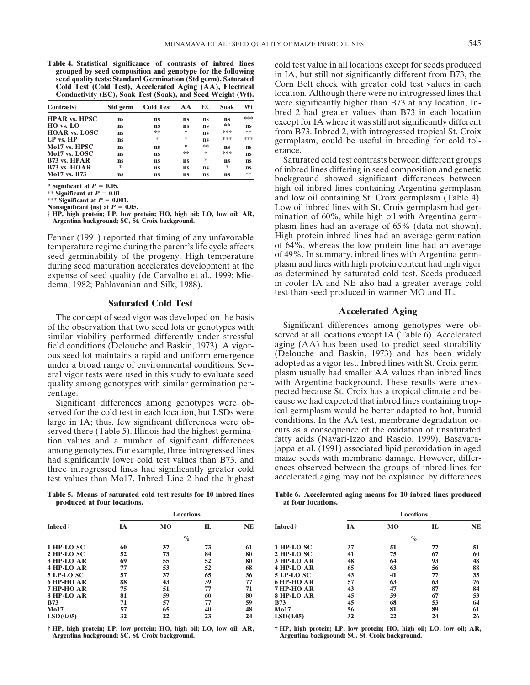Table 4. Statistical significance of contrasts of inbred lines<br>grouped by seed composition and genotype for the following<br>seed quality tests: Standard Germination (Std germ), Saturated<br>Cold Test. (Cold Test). Accelerated A **Cold Test (Cold Test), Accelerated Aging (AA), Electrical** 

| Contrasts†           | Std germ  | Cold Test AA |    | EC        | Soak | Wt        | were si  |
|----------------------|-----------|--------------|----|-----------|------|-----------|----------|
| <b>HPAR vs. HPSC</b> | ns        | ns           | ns | ns        | ns   | ***       | bred 2   |
| $HO$ vs. $LO$        | <b>ns</b> | ns           | ns | ns        | **   | <b>ns</b> | except   |
| <b>HOAR</b> vs. LOSC | <b>ns</b> | **           | *  | <b>ns</b> | ***  | **        | from B   |
| $LP$ vs. $HP$        | <b>ns</b> | *            | *  | ns        | ***  | ***       | germpl   |
| Mo17 vs. HPSC        | <b>ns</b> | ns           | *  | **        | ns   | ns        |          |
| Mo17 vs. LOSC        | <b>ns</b> | ns           | ** | ∗         | ***  | <b>ns</b> | erance.  |
| <b>B73 vs. HPAR</b>  | ns        | ns           | ns | *         | ns   | <b>ns</b> | Satui    |
| <b>B73 vs. HOAR</b>  | *         | ns           | ns | ns        | ∗    | <b>ns</b> | of inbre |
| <b>Mo17</b> vs. B73  | ns        | ns           | ns | ns        | ns   | **        | hookar   |

\* Significant at  $P = 0.05$ .<br>\*\* Significant at  $P = 0.01$ .

\*\*\* **Significant** at  $P = 0.001$ .

**Nonsignificant** (ns) at  $P = 0.05$ .

expense of seed quality (de Carvalho et al., 1999; Mie-

## **Saturated Cold Test**

The concept of seed vigor was developed on the basis<br>
The concept of seed vigor was developed on the basis<br>
Significant differences among genotypes were ob-<br>
Significant differences among genotypes were obof the observation that two seed lots or genotypes with Significant differences among genotypes were ob-<br>similar viability performed differently under stressful served at all locations except IA (Table 6). Accelerated similar viability performed differently under stressful served at all locations except IA (Table 6). Accelerated<br>
served at all locations except IA (Table 6). Accelerated<br>
field conditions (Delouche and Baskin 1973) A vigo field conditions (Delouche and Baskin, 1973). A vigorous seed lot maintains a rapid and uniform emergence (Delouche and Baskin, 1973) and has been widely<br>under a broad range of environmental conditions Sey-<br>adopted as a vigor test. Inbred lines with St. Croix germunder a broad range of environmental conditions. Several vigor tests were used in this study to evaluate seed plasm usually had smaller AA values than inbred lines<br>
quality among genotypes with similar germination per-<br>
with Argentine background. These results were unexquality among genotypes with similar germination per-

three introgressed lines had significantly greater cold<br>test observed between the groups of inbred lines for<br>test values than Mo17. Inbred Line 2 had the highest accelerated aging may not be explained by differences

**Table 5. Means of saturated cold test results for 10 inbred lines Table 6. Accelerated aging means for 10 inbred lines produced produced at four locations. at four locations.**

|                     |    |      | Locations |           |            | <b>Locations</b> |               |    |           |
|---------------------|----|------|-----------|-----------|------------|------------------|---------------|----|-----------|
| Inbred <sup>†</sup> | IA | MO   | IL        | <b>NE</b> | Inbred†    | IA               | MO            | IL | <b>NE</b> |
|                     |    | $\%$ |           |           |            |                  | $\frac{O}{O}$ |    |           |
| 1 HP-LO SC          | 60 | 37   | 73        | 61        | 1 HP-LO SC | 37               | 51            |    | -51       |
| 2 HP-LO SC          | 52 | 73   | 84        | 80        | 2 HP-LO SC | 41               | 75            | 67 | 60        |
| <b>3 HP-LO AR</b>   | 69 | 55   | 52        | 80        | 3 HP-LO AR | 48               | 64            | 93 | 48        |
| 4 HP-LO AR          | 77 | 53   | 52        | 68        | 4 HP-LO AR | 65               | 63            | 56 | 88        |
| <b>5 LP-LO SC</b>   | 57 | 37   | 65        | 36        | 5 LP-LO SC | 43               | 41            | 77 | 35        |
| 6 HP-HO AR          | 88 | 43   | 39        | 77        | 6 HP-HO AR | 57               | 63            | 63 | 76        |
| 7 HP-HO AR          | 75 | 51   | 77        | 71        | 7 HP-HO AR | 43               | 47            | 87 | 84        |
| 8 HP-LO AR          | 81 | 59   | 60        | 80        | 8 HP-LO AR | 45               | 59            | 67 | 53        |
| <b>B73</b>          | 71 | 57   | 77        | 59        | <b>B73</b> | 45               | 68            | 53 | 64        |
| Mo17                | 57 | 65   | 40        | 48        | Mo17       | 56               | 81            | 89 | 61        |
| LSD(0.05)           | 32 | 22   | 23        | 24        | LSD(0.05)  | 32               | 22            | 24 | 26        |

**† HP, high protein; LP, low protein; HO, high oil; LO, low oil; AR, † HP, high protein; LP, low protein; HO, high oil; LO, low oil; AR,**

**Conductivity (EC), Soak Test (Soak), and Seed Weight (Wt).** location. Although there were no introgressed lines that were significantly higher than B73 at any location, In-<br>bred 2 had greater values than B73 in each location<br>except for IA where it was still not significantly different from B73. Inbred 2, with introgressed tropical St. Croix germplasm, could be useful in breeding for cold tolerance.

**Saturated cold test contrasts between different groups** of inbred lines differing in seed composition and genetic background showed significant differences between high oil inbred lines containing Argentina germplasm and low oil containing St. Croix germplasm (Table 4). Low oil inbred lines with St. Croix germplasm had ger- $\frac{1}{2}$  HP, high protein; LP, low protein; HO, high oil; LO, low oil; AR,<br>Argentina background; SC, St. Croix background.<br>plasm lines had an average of 65% (data not shown). Fenner (1991) reported that timing of any unfavorable High protein inbred lines had an average germination temperature regime during the parent's life cycle affects of 64%, whereas the low protein line had an average temperature regime during the parent's life cycle affects of 64%, whereas the low protein line had an average seed germinability of the progeny. High temperature of 49%. In summary, inbred lines with Argentina germseed germinability of the progeny. High temperature of 49%. In summary, inbred lines with Argentina germ-<br>during seed maturation accelerates development at the plasm and lines with high protein content had high vigor during seed maturation accelerates development at the plasm and lines with high protein content had high vigor<br>expense of seed quality (de Carvalho et al., 1999; Mie-<br>as determined by saturated cold test. Seeds produced dema, 1982; Pahlavanian and Silk, 1988). in cooler IA and NE also had a greater average cold test than seed produced in warmer MO and IL.

centage.<br>
Significant differences among genotypes were ob-<br>
Significant differences among genotypes were ob-<br>
cause we had expected that inbred lines containing trop-Significant differences among genotypes were ob-<br>Significant differences among genotypes were cause we had expected that inbred lines containing trop-<br>ical germplasm would be better adapted to hot, humid served for the cold test in each location, but LSDs were ical germplasm would be better adapted to hot, humid<br>large in IA: thus few significant differences were ob-<br>conditions. In the AA test, membrane degradation oclarge in IA; thus, few significant differences were ob-<br>served there (Table 5) Illinois had the highest germina-<br>curs as a consequence of the oxidation of unsaturated served there (Table 5). Illinois had the highest germina-<br>tion values and a number of significant differences fatty acids (Navari-Izzo and Rascio, 1999). Basavaration values and a number of significant differences fatty acids (Navari-Izzo and Rascio, 1999). Basavara-<br>among genotypes For example three introgressed lines approact al. (1991) associated lipid peroxidation in aged among genotypes. For example, three introgressed lines jappa et al. (1991) associated lipid peroxidation in aged<br>had significantly lower cold test values than B73, and in maize seeds with membrane damage. However, differhad significantly lower cold test values than B73, and maize seeds with membrane damage. However, differ-<br>three introgressed lines had significantly greater cold ences observed between the groups of inbred lines for

| <b>Locations</b> |    |    |                   |    | <b>Locations</b> |    |           |
|------------------|----|----|-------------------|----|------------------|----|-----------|
|                  | IL | NE | Inbred†           | IA | MO               | IL | <b>NE</b> |
| $\%$             |    |    |                   |    | $\%$             |    |           |
|                  | 73 | 61 | 1 HP-LO SC        | 37 | 51               | 77 | 51        |
|                  | 84 | 80 | 2 HP-LO SC        | 41 | 75               | 67 | 60        |
|                  | 52 | 80 | 3 HP-LO AR        | 48 | 64               | 93 | 48        |
|                  | 52 | 68 | 4 HP-LO AR        | 65 | 63               | 56 | 88        |
|                  | 65 | 36 | 5 LP-LO SC        | 43 | 41               | 77 | 35        |
|                  | 39 | 77 | 6 HP-HO AR        | 57 | 63               | 63 | 76        |
|                  | 77 | 71 | <b>7 HP-HO AR</b> | 43 | 47               | 87 | 84        |
|                  | 60 | 80 | 8 HP-LO AR        | 45 | 59               | 67 | 53        |
|                  | 77 | 59 | <b>B73</b>        | 45 | 68               | 53 | 64        |
|                  | 40 | 48 | Mo17              | 56 | 81               | 89 | 61        |
|                  | 23 | 24 | LSD(0.05)         | 32 | 22               | 24 | 26        |

**Argentina background; SC, St. Croix background. Argentina background; SC, St. Croix background.**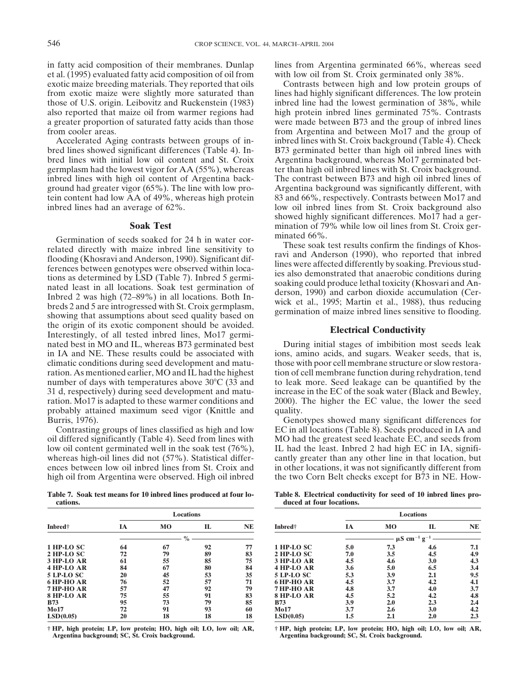in fatty acid composition of their membranes. Dunlap lines from Argentina germinated 66%, whereas seed et al. (1995) evaluated fatty acid composition of oil from with low oil from St. Croix germinated only 38%. exotic maize breeding materials. They reported that oils Contrasts between high and low protein groups of from exotic maize were slightly more saturated than lines had highly significant differences. The low protein those of U.S. origin. Leibovitz and Ruckenstein (1983) inbred line had the lowest germination of 38%, while also reported that maize oil from warmer regions had high protein inbred lines germinated 75%. Contrasts a greater proportion of saturated fatty acids than those were made between B73 and the group of inbred lines from cooler areas. from Argentina and between Mo17 and the group of

Germination of seeds soaked for 24 h in water correlated 66%.<br>
Free soak test results confirm the findings of Khos-<br>
Flooding (Khosravi and Anderson, 1990). Significant dif-<br>
ferences between genotypes were observed within the origin of its exotic component should be avoided.<br>Interestingly, of all tested inbred lines, Mo17 germi-<br>**Electrical Conductivity** probably attained maximum seed vigor (Knittle and Burris, 1976). Genotypes showed many significant differences for

**Table 7.** Soak test means for 10 inbred lines produced at four lo-<br> **Table 8.** Electrical conductivity for seed of 10 inbred lines pro-<br> **Table 8.** Electrical conductivity for seed of 10 inbred lines pro-<br> **Table 8.** Elec

|                   |     | <b>Locations</b> |    |           |                     | <b>Locations</b> |     |                                          |           |
|-------------------|-----|------------------|----|-----------|---------------------|------------------|-----|------------------------------------------|-----------|
| Inbred†           | IA  | MO               | IL | <b>NE</b> | Inbred <sup>†</sup> | IA               | MO  | IL                                       | <b>NE</b> |
|                   |     | $\%$             |    |           |                     |                  |     | $\mu S$ cm <sup>-1</sup> g <sup>-1</sup> |           |
| 1 HP-LO SC        | 64  | 67               | 92 | 77        | 1 HP-LO SC          | 5.0              | 7.3 | 4.6                                      | 7.1       |
| 2 HP-LO SC        | 72  | 79               | 89 | 83        | 2 HP-LO SC          | 7.0              | 3.5 | 4.5                                      | 4.9       |
| <b>3 HP-LO AR</b> | -61 | 55               | 85 | 75        | 3 HP-LO AR          | 4.5              | 4.6 | 3.0                                      | 4.3       |
| 4 HP-LO AR        | 84  | 67               | 80 | 84        | 4 HP-LO AR          | 3.6              | 5.0 | 6.5                                      | 3.4       |
| <b>5 LP-LO SC</b> | 20  | 45               | 53 | 35        | 5 LP-LO SC          | 5.3              | 3.9 | 2.1                                      | 9.5       |
| 6 HP-HO AR        | 76  | 52               | 57 | 71        | 6 HP-HO AR          | 4.5              | 3.7 | 4.2                                      | 4.1       |
| <b>7 HP-HO AR</b> | 57  | 47               | 92 | 79        | <b>7 HP-HO AR</b>   | 4.8              | 3.7 | 4.0                                      | 3.7       |
| 8 HP-LO AR        | 75  | 55               | 91 | 83        | 8 HP-LO AR          | 4.5              | 5.2 | 4.2                                      | 4.8       |
| <b>B73</b>        | 95  | 73               | 79 | 85        | <b>B73</b>          | 3.9              | 2.0 | 2.3                                      | 2.4       |
| Mo17              | 72  | 91               | 93 | 60        | Mo17                | 3.7              | 2.6 | 3.0                                      | 4.2       |
| LSD(0.05)         | 20  | 18               | 18 | 18        | LSD(0.05)           | 1.5              | 2.1 | 2.0                                      | 2.3       |

**† HP, high protein; LP, low protein; HO, high oil; LO, low oil; AR, † HP, high protein; LP, low protein; HO, high oil; LO, low oil; AR, Argentina background; SC, St. Croix background. Argentina background; SC, St. Croix background.**

were made between B73 and the group of inbred lines Accelerated Aging contrasts between groups of in- inbred lines with St. Croix background (Table 4). Check bred lines showed significant differences (Table 4). In- B73 germinated better than high oil inbred lines with bred lines with initial low oil content and St. Croix Argentina background, whereas Mo17 germinated betgermplasm had the lowest vigor for AA (55%), whereas ter than high oil inbred lines with St. Croix background. inbred lines with high oil content of Argentina back- The contrast between B73 and high oil inbred lines of ground had greater vigor (65%). The line with low pro- Argentina background was significantly different, with tein content had low AA of 49%, whereas high protein 83 and 66%, respectively. Contrasts between Mo17 and inbred lines had an average of 62%. low oil inbred lines from St. Croix background also showed highly significant differences. Mo17 had a ger-**Soak Test** mination of 79% while low oil lines from St. Croix ger-

nated best in MO and IL, whereas B73 germinated best During initial stages of imbibition most seeds leak in IA and NE. These results could be associated with ions, amino acids, and sugars. Weaker seeds, that is, climatic conditions during seed development and matu-<br>climatic conditions during seed development and matu-<br>those w those with poor cell membrane structure or slow restoraration. As mentioned earlier, MO and IL had the highest tion of cell membrane function during rehydration, tend number of days with temperatures above  $30^{\circ}$ C (33 and to leak more. Seed leakage can be quantified by the 31 d, respectively) during seed development and matu- increase in the EC of the soak water (Black and Bewley, ration. Mo17 is adapted to these warmer conditions and 2000). The higher the EC value, the lower the seed probably attained maximum seed vigor (Knittle and quality.

Contrasting groups of lines classified as high and low EC in all locations (Table 8). Seeds produced in IA and oil differed significantly (Table 4). Seed from lines with MO had the greatest seed leachate EC, and seeds from low oil content germinated well in the soak test (76%), IL had the least. Inbred 2 had high EC in IA, signifiwhereas high-oil lines did not (57%). Statistical differ- cantly greater than any other line in that location, but ences between low oil inbred lines from St. Croix and in other locations, it was not significantly different from high oil from Argentina were observed. High oil inbred the two Corn Belt checks except for B73 in NE. How-

**cations. duced at four locations.**

| Locations |      |           |                   |     | <b>Locations</b> |                                          |           |
|-----------|------|-----------|-------------------|-----|------------------|------------------------------------------|-----------|
|           | IL   | <b>NE</b> | <b>Inbred</b> †   | IA  | MO               | IL                                       | <b>NE</b> |
|           | $\%$ |           |                   |     |                  | $\mu S$ cm <sup>-1</sup> g <sup>-1</sup> |           |
|           | 92   | 77        | 1 HP-LO SC        | 5.0 | 7.3              | 4.6                                      | 7.1       |
|           | 89   | 83        | 2 HP-LO SC        | 7.0 | 3.5              | 4.5                                      | 4.9       |
|           | 85   | 75        | 3 HP-LO AR        | 4.5 | 4.6              | 3.0                                      | 4.3       |
|           | 80   | 84        | 4 HP-LO AR        | 3.6 | 5.0              | 6.5                                      | 3.4       |
|           | 53   | 35        | 5 LP-LO SC        | 5.3 | 3.9              | 2.1                                      | 9.5       |
|           | 57   | 71        | 6 HP-HO AR        | 4.5 | 3.7              | 4.2                                      | 4.1       |
|           | 92   | 79        | <b>7 HP-HO AR</b> | 4.8 | 3.7              | 4.0                                      | 3.7       |
|           | 91   | 83        | 8 HP-LO AR        | 4.5 | 5.2              | 4.2                                      | 4.8       |
|           | 79   | 85        | <b>B73</b>        | 3.9 | 2.0              | 2.3                                      | 2.4       |
|           | 93   | 60        | <b>Mo17</b>       | 3.7 | 2.6              | 3.0                                      | 4.2       |
|           | 18   | 18        | LSD(0.05)         | 1.5 | 2.1              | 2.0                                      | 2.3       |
|           |      |           |                   |     |                  |                                          |           |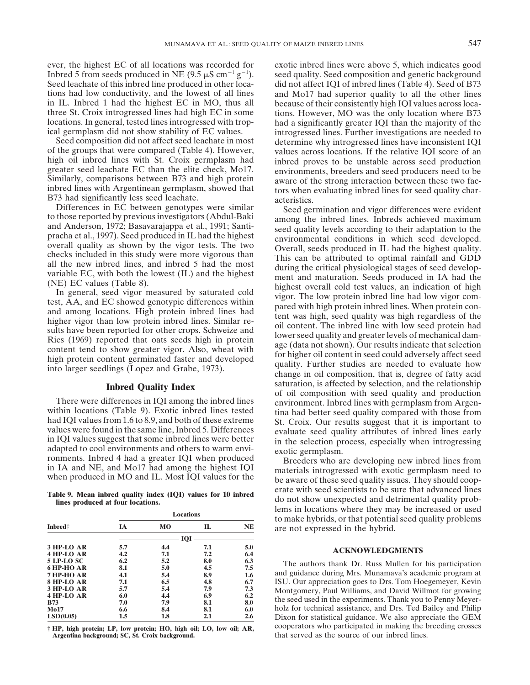Inbred 5 from seeds produced in NE  $(9.5 \mu S \text{ cm}^{-1} \text{ g}^{-1})$ .

**Index**<br> **IEVENUAL EXECT STATE STATE STATE STATE STATE STATE STATE STATE STATE STATE STATE STATE STATE STATE STATE STATE STATE STATE STATE STATE STATE STATE STATE STATE STATE STATE STATE STATE STATE STATE STATE STATE STATE** 

|                   | <b>Locations</b> |         |     |     |  |  |  |  |
|-------------------|------------------|---------|-----|-----|--|--|--|--|
| Inbred†           | IA               | MО      | IL  | NE  |  |  |  |  |
|                   |                  | IQI     |     |     |  |  |  |  |
| 3 HP-LO AR        | 5.7              | 4.4     | 7.1 | 5.0 |  |  |  |  |
| 4 HP-LO AR        | 4.2              | 7.1     | 7.2 | 6.4 |  |  |  |  |
| <b>5 LP-LO SC</b> | 6.2              | 5.2     | 8.0 | 6.3 |  |  |  |  |
| 6 HP-HO AR        | 8.1              | 5.0     | 4.5 | 7.5 |  |  |  |  |
| <b>7 HP-HO AR</b> | 4.1              | 5.4     | 8.9 | 1.6 |  |  |  |  |
| 8 HP-LO AR        | 7.1              | 6.5     | 4.8 | 6.7 |  |  |  |  |
| 3 HP-LO AR        | 5.7              | 5.4     | 7.9 | 7.3 |  |  |  |  |
| 4 HP-LO AR        | 6.0              | 4.4     | 6.9 | 6.2 |  |  |  |  |
| <b>B73</b>        | 7.0              | 7.9     | 8.1 | 8.0 |  |  |  |  |
| Mo17              | 6.6              | 8.4     | 8.1 | 6.0 |  |  |  |  |
| LSD(0.05)         | $1.5\,$          | $1.8\,$ | 2.1 | 2.6 |  |  |  |  |

Argentina background; SC, St. Croix background.

ever, the highest EC of all locations was recorded for exotic inbred lines were above 5, which indicates good ). seed quality. Seed composition and genetic background Seed leachate of this inbred line produced in other loca- did not affect IQI of inbred lines (Table 4). Seed of B73 tions had low conductivity, and the lowest of all lines and Mo17 had superior quality to all the other lines in IL. Inbred 1 had the highest EC in MO, thus all because of their consistently high IQI values across locathree St. Croix introgressed lines had high EC in some tions. However, MO was the only location where B73 locations. In general, tested lines introgressed with trop- had a significantly greater IOI than the majority of the had a significantly greater IQI than the majority of the ical germplasm did not show stability of EC values. introgressed lines. Further investigations are needed to<br>Seed composition did not affect seed leachate in most<br>determine why introgressed lines have inconsistent IOI Seed composition did not affect seed leachate in most<br>of the groups that were compared (Table 4). However,<br>high oil inbred lines with St. Croix germplasm had<br>inbred proves to be unstable across seed production high oil inbred lines with St. Croix germplasm had<br>greater seed leachate EC than the elite check, Mo17.<br>Similarly, comparisons between B73 and high protein<br>inbred lines with Argentinean germplasm, showed that<br>B73 had signi

Differences in EC between genotypes were similar<br>and Anderson, 1972; Basavarajappa et al., 1991; Santi-<br>and Anderson, 1972; Basavarajappa et al., 1991; Santi-<br>and data in the highest and Anderson, 1972; Basavarajappa et al

Table 9. Mean inbred quality index (IQI) values for 10 inbred<br>lines do not show unexpected and detrimental quality prob-<br>lems in locations where they may be increased or used<br>to make hybrids, or that potential seed quality are not expressed in the hybrid.

## $\Lambda$ CKNOWLEDGMENTS

The authors thank Dr. Russ Mullen for his participation and guidance during Mrs. Munamava's academic program at **ISU.** Our appreciation goes to Drs. Tom Hoegemeyer, Kevin Montgomery, Paul Williams, and David Willmot for growing the seed used in the experiments. Thank you to Penny Meyerholz for technical assistance, and Drs. Ted Bailey and Philip Dixon for statistical guidance. We also appreciate the GEM <sup>†</sup> **HP, high protein; LP, low protein; HO, high oil; LO, low oil; AR,** cooperators who participated in making the breeding crosses **Argentina background: SC, St. Croix background. Argentina background:** SC, St. Croix ba